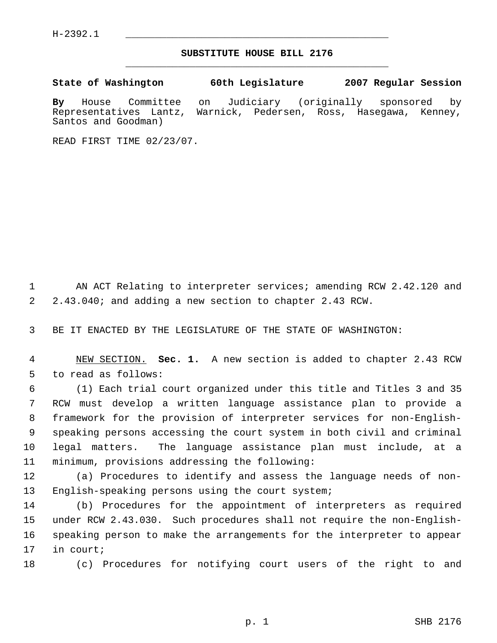## **SUBSTITUTE HOUSE BILL 2176** \_\_\_\_\_\_\_\_\_\_\_\_\_\_\_\_\_\_\_\_\_\_\_\_\_\_\_\_\_\_\_\_\_\_\_\_\_\_\_\_\_\_\_\_\_

**State of Washington 60th Legislature 2007 Regular Session**

**By** House Committee on Judiciary (originally sponsored by Representatives Lantz, Warnick, Pedersen, Ross, Hasegawa, Kenney, Santos and Goodman)

READ FIRST TIME 02/23/07.

1 AN ACT Relating to interpreter services; amending RCW 2.42.120 and 2.43.040; and adding a new section to chapter 2.43 RCW.

BE IT ENACTED BY THE LEGISLATURE OF THE STATE OF WASHINGTON:

 NEW SECTION. **Sec. 1.** A new section is added to chapter 2.43 RCW to read as follows:

 (1) Each trial court organized under this title and Titles 3 and 35 RCW must develop a written language assistance plan to provide a framework for the provision of interpreter services for non-English- speaking persons accessing the court system in both civil and criminal legal matters. The language assistance plan must include, at a minimum, provisions addressing the following:

 (a) Procedures to identify and assess the language needs of non-English-speaking persons using the court system;

 (b) Procedures for the appointment of interpreters as required under RCW 2.43.030. Such procedures shall not require the non-English- speaking person to make the arrangements for the interpreter to appear in court;

(c) Procedures for notifying court users of the right to and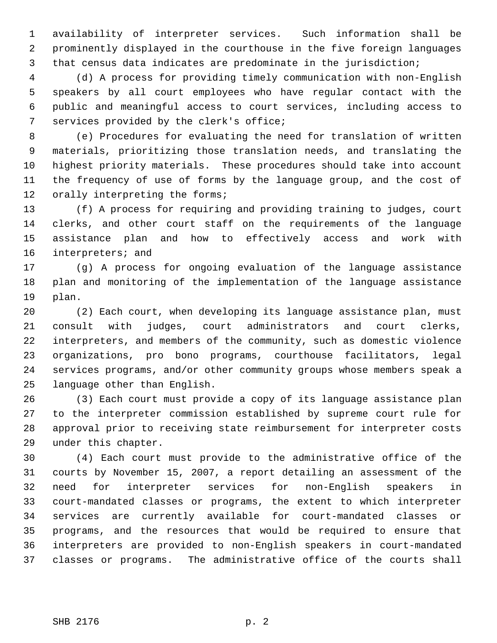availability of interpreter services. Such information shall be prominently displayed in the courthouse in the five foreign languages that census data indicates are predominate in the jurisdiction;

 (d) A process for providing timely communication with non-English speakers by all court employees who have regular contact with the public and meaningful access to court services, including access to services provided by the clerk's office;

 (e) Procedures for evaluating the need for translation of written materials, prioritizing those translation needs, and translating the highest priority materials. These procedures should take into account the frequency of use of forms by the language group, and the cost of 12 orally interpreting the forms;

 (f) A process for requiring and providing training to judges, court clerks, and other court staff on the requirements of the language assistance plan and how to effectively access and work with interpreters; and

 (g) A process for ongoing evaluation of the language assistance plan and monitoring of the implementation of the language assistance plan.

 (2) Each court, when developing its language assistance plan, must consult with judges, court administrators and court clerks, interpreters, and members of the community, such as domestic violence organizations, pro bono programs, courthouse facilitators, legal services programs, and/or other community groups whose members speak a language other than English.

 (3) Each court must provide a copy of its language assistance plan to the interpreter commission established by supreme court rule for approval prior to receiving state reimbursement for interpreter costs under this chapter.

 (4) Each court must provide to the administrative office of the courts by November 15, 2007, a report detailing an assessment of the need for interpreter services for non-English speakers in court-mandated classes or programs, the extent to which interpreter services are currently available for court-mandated classes or programs, and the resources that would be required to ensure that interpreters are provided to non-English speakers in court-mandated classes or programs. The administrative office of the courts shall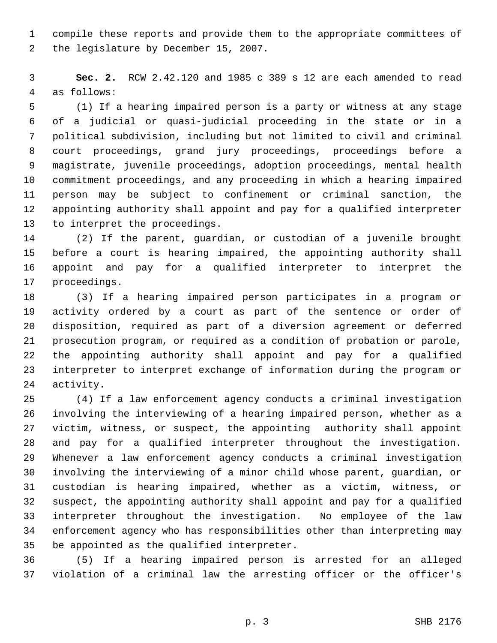compile these reports and provide them to the appropriate committees of the legislature by December 15, 2007.

 **Sec. 2.** RCW 2.42.120 and 1985 c 389 s 12 are each amended to read as follows:

 (1) If a hearing impaired person is a party or witness at any stage of a judicial or quasi-judicial proceeding in the state or in a political subdivision, including but not limited to civil and criminal court proceedings, grand jury proceedings, proceedings before a magistrate, juvenile proceedings, adoption proceedings, mental health commitment proceedings, and any proceeding in which a hearing impaired person may be subject to confinement or criminal sanction, the appointing authority shall appoint and pay for a qualified interpreter to interpret the proceedings.

 (2) If the parent, guardian, or custodian of a juvenile brought before a court is hearing impaired, the appointing authority shall appoint and pay for a qualified interpreter to interpret the proceedings.

 (3) If a hearing impaired person participates in a program or activity ordered by a court as part of the sentence or order of disposition, required as part of a diversion agreement or deferred prosecution program, or required as a condition of probation or parole, the appointing authority shall appoint and pay for a qualified interpreter to interpret exchange of information during the program or activity.

 (4) If a law enforcement agency conducts a criminal investigation involving the interviewing of a hearing impaired person, whether as a victim, witness, or suspect, the appointing authority shall appoint and pay for a qualified interpreter throughout the investigation. Whenever a law enforcement agency conducts a criminal investigation involving the interviewing of a minor child whose parent, guardian, or custodian is hearing impaired, whether as a victim, witness, or suspect, the appointing authority shall appoint and pay for a qualified interpreter throughout the investigation. No employee of the law enforcement agency who has responsibilities other than interpreting may be appointed as the qualified interpreter.

 (5) If a hearing impaired person is arrested for an alleged violation of a criminal law the arresting officer or the officer's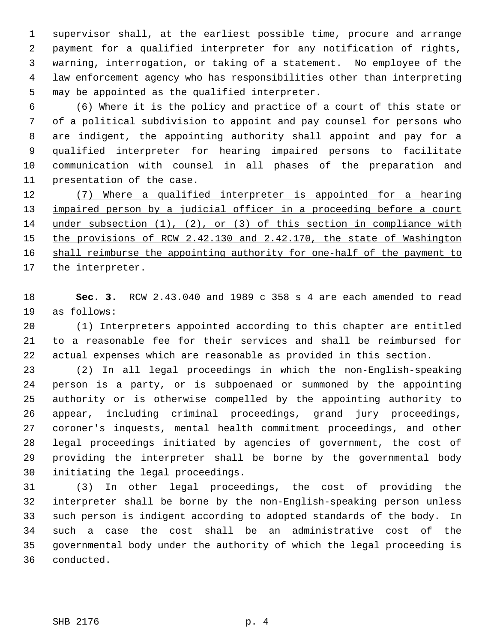supervisor shall, at the earliest possible time, procure and arrange payment for a qualified interpreter for any notification of rights, warning, interrogation, or taking of a statement. No employee of the law enforcement agency who has responsibilities other than interpreting may be appointed as the qualified interpreter.

 (6) Where it is the policy and practice of a court of this state or of a political subdivision to appoint and pay counsel for persons who are indigent, the appointing authority shall appoint and pay for a qualified interpreter for hearing impaired persons to facilitate communication with counsel in all phases of the preparation and presentation of the case.

 (7) Where a qualified interpreter is appointed for a hearing 13 impaired person by a judicial officer in a proceeding before a court under subsection (1), (2), or (3) of this section in compliance with 15 the provisions of RCW 2.42.130 and 2.42.170, the state of Washington 16 shall reimburse the appointing authority for one-half of the payment to 17 the interpreter.

 **Sec. 3.** RCW 2.43.040 and 1989 c 358 s 4 are each amended to read as follows:

 (1) Interpreters appointed according to this chapter are entitled to a reasonable fee for their services and shall be reimbursed for actual expenses which are reasonable as provided in this section.

 (2) In all legal proceedings in which the non-English-speaking person is a party, or is subpoenaed or summoned by the appointing authority or is otherwise compelled by the appointing authority to appear, including criminal proceedings, grand jury proceedings, coroner's inquests, mental health commitment proceedings, and other legal proceedings initiated by agencies of government, the cost of providing the interpreter shall be borne by the governmental body initiating the legal proceedings.

 (3) In other legal proceedings, the cost of providing the interpreter shall be borne by the non-English-speaking person unless such person is indigent according to adopted standards of the body. In such a case the cost shall be an administrative cost of the governmental body under the authority of which the legal proceeding is conducted.